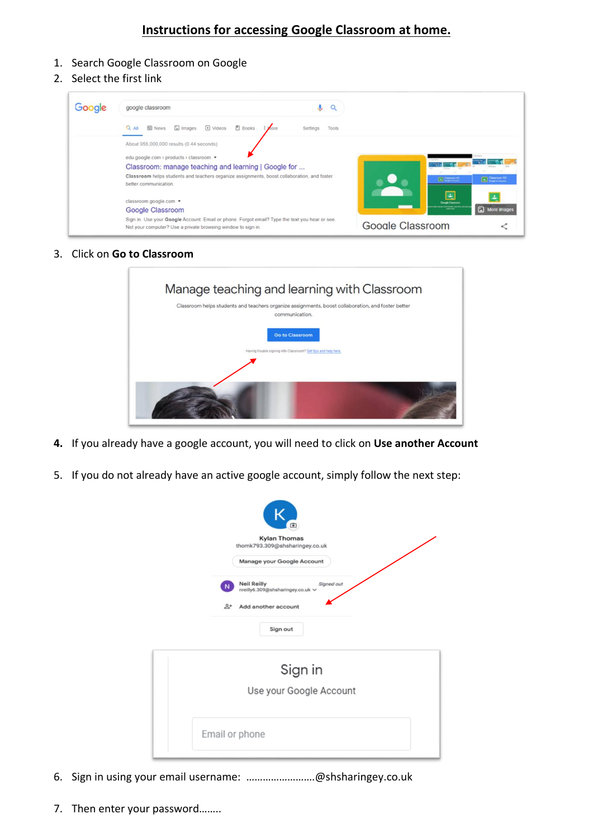## **Instructions for accessing Google Classroom at home.**

- 1. Search Google Classroom on Google
- 2. Select the first link



3. Click on **Go to Classroom**

| Manage teaching and learning with Classroom<br>Classroom helps students and teachers organize assignments, boost collaboration, and foster better<br>communication. |
|---------------------------------------------------------------------------------------------------------------------------------------------------------------------|
| <b>Go to Classroom</b><br>Having trouble signing into Classroom? Get tips and help here.                                                                            |
|                                                                                                                                                                     |

- **4.** If you already have a google account, you will need to click on **Use another Account**
- 5. If you do not already have an active google account, simply follow the next step:

|                               | $\bullet$<br><b>Kylan Thomas</b><br>thomk793.309@shsharingey.co.uk                          |
|-------------------------------|---------------------------------------------------------------------------------------------|
|                               | Manage your Google Account                                                                  |
| $\mathbf N$<br>$\mathbb{R}^+$ | <b>Neil Reilly</b><br>Signed out<br>nreilly6.309@shsharingey.co.uk v<br>Add another account |
|                               | Sign out                                                                                    |
|                               | Sign in                                                                                     |
|                               | Use your Google Account                                                                     |
| Email or phone                |                                                                                             |

- 6. Sign in using your email username: …………………….@shsharingey.co.uk
- 7. Then enter your password……..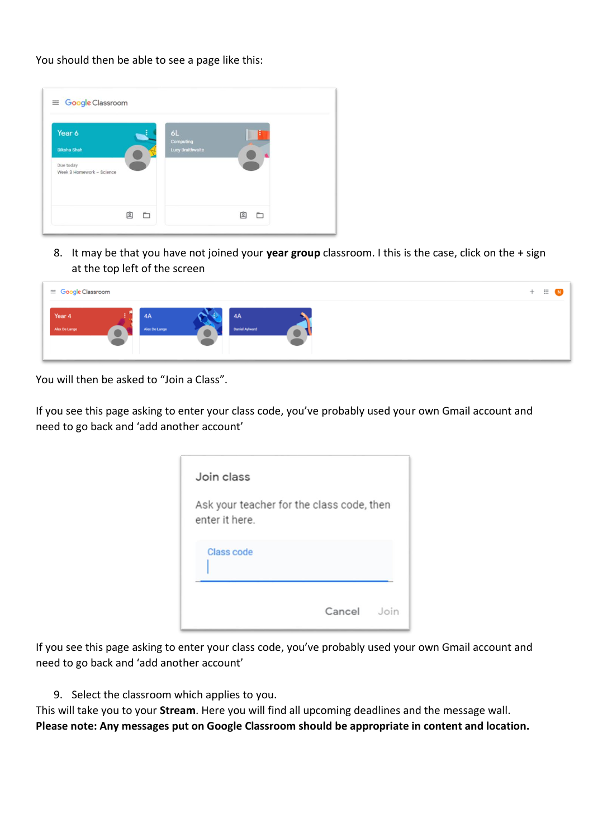You should then be able to see a page like this:

| Year 6                                 | 6L<br>Computing  |  |
|----------------------------------------|------------------|--|
| <b>Diksha Shah</b>                     | Lucy Braithwaite |  |
| Due today<br>Week 3 Homework - Science |                  |  |
|                                        |                  |  |

8. It may be that you have not joined your **year group** classroom. I this is the case, click on the + sign at the top left of the screen

| ≡ Google Classroom      |                     |                             | $+$ | $\mathop{\mathbb{H}}$ |
|-------------------------|---------------------|-----------------------------|-----|-----------------------|
| Year 4<br>Alex De Lange | 4A<br>Alex De Lange | 4A<br><b>Daniel Aylward</b> |     |                       |

You will then be asked to "Join a Class".

If you see this page asking to enter your class code, you've probably used your own Gmail account and need to go back and 'add another account'

| Join class                                                  |        |      |
|-------------------------------------------------------------|--------|------|
| Ask your teacher for the class code, then<br>enter it here. |        |      |
| <b>Class code</b>                                           |        |      |
|                                                             | Cancel | Join |

If you see this page asking to enter your class code, you've probably used your own Gmail account and need to go back and 'add another account'

9. Select the classroom which applies to you.

This will take you to your **Stream**. Here you will find all upcoming deadlines and the message wall. **Please note: Any messages put on Google Classroom should be appropriate in content and location.**